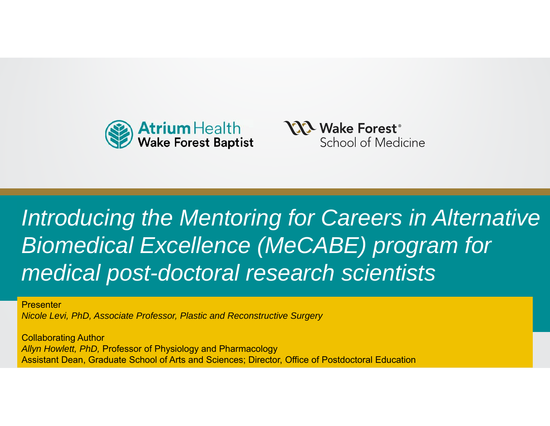



### rellence (MeCARE) r medical post-doctoral research scientists *Introducing the Mentoring for Careers in Alternative Biomedical Excellence (MeCABE) program for*

**Presenter** *Nicole Levi, PhD, Associate Professor, Plastic and Reconstructive Surgery*

Collaborating Author<br>"We all the Collaboration" *Allyn Howlett, PhD,* Professor of Physiology and Pharmacology Assistant Dean, Graduate School of Arts and Sciences; Director, Office of Postdoctoral Education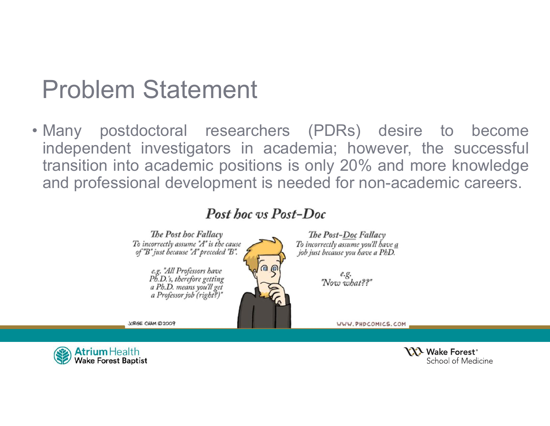## Problem Statement

• Many postdoctoral researchers (PDRs) desire to become independent investigators in academia; however, the successful transition into academic positions is only 20% and more knowledge and professional development is needed for non-academic careers.

#### Post hoc vs Post-Doc



JORGE CHAM @ 2009

The Post-Doc Fallacy To incorrectly assume you'll have a job just because you have a PhD.

> e.g. "Now what??"

> > WWW.PHDCOMICS.COM

**Atrium** Health **Wake Forest Baptist** 

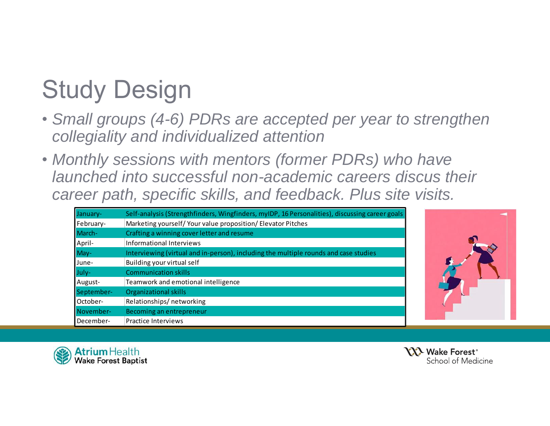# Study Design

- *Small groups (4-6) PDRs are accepted per year to strengthen collegiality and individualized attention*
- *Monthly sessions with mentors (former PDRs) who have launched into successful non-academic careers discus their career path, specific skills, and feedback. Plus site visits.*

| January-   | Self-analysis (Strengthfinders, Wingfinders, myIDP, 16 Personalities), discussing career goals |
|------------|------------------------------------------------------------------------------------------------|
| February-  | Marketing yourself/ Your value proposition/ Elevator Pitches                                   |
| March-     | Crafting a winning cover letter and resume                                                     |
| April-     | Informational Interviews                                                                       |
| May-       | Interviewing (virtual and in-person), including the multiple rounds and case studies           |
| June-      | Building your virtual self                                                                     |
| July-      | <b>Communication skills</b>                                                                    |
| August-    | Teamwork and emotional intelligence                                                            |
| September- | <b>Organizational skills</b>                                                                   |
| lOctober-  | Relationships/networking                                                                       |
| November-  | Becoming an entrepreneur                                                                       |
| December-  | Practice Interviews                                                                            |





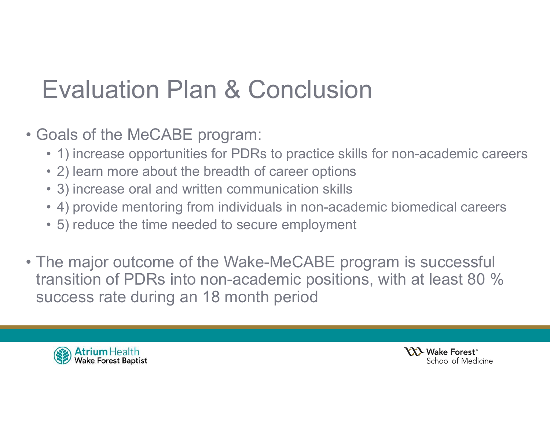## Evaluation Plan & Conclusion

- Goals of the MeCABE program:
	- 1) increase opportunities for PDRs to practice skills for non-academic careers
	- 2) learn more about the breadth of career options
	- 3) increase oral and written communication skills
	- 4) provide mentoring from individuals in non-academic biomedical careers
	- 5) reduce the time needed to secure employment
- The major outcome of the Wake-MeCABE program is successful transition of PDRs into non-academic positions, with at least 80 % success rate during an 18 month period



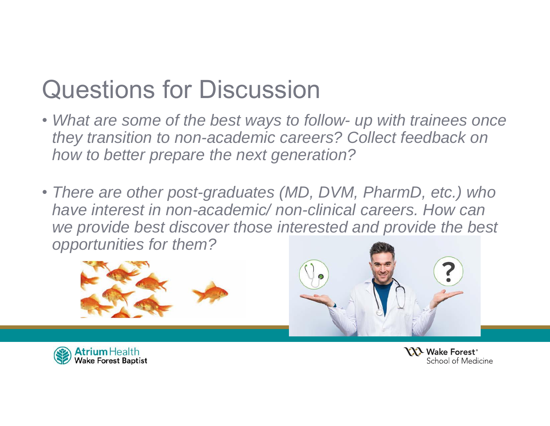## Questions for Discussion

- *What are some of the best ways to follow- up with trainees once they transition to non-academic careers? Collect feedback on how to better prepare the next generation?*
- *There are other post-graduates (MD, DVM, PharmD, etc.) who have interest in non-academic/ non-clinical careers. How can we provide best discover those interested and provide the best opportunities for them?*